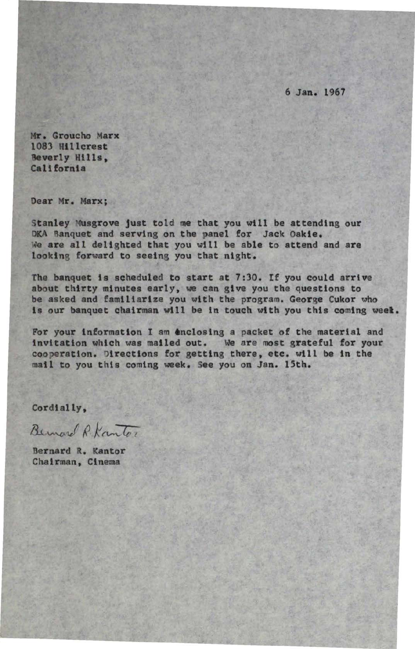6 Jan. 1967

Mr. Groucho Marx 1083 Hillcrest Beverly Hills, California

Dear Mr. Marx;

Stanley Musgrove just told me that you will be attending our OKA Banquet and serving on the panel for Jack Oakie. We are all delighted that you will be able to attend and are looking forward to seeing you that night.

The banquet is scheduled to start at 7:30. If you could arrive about thirty minutes early, we can gtve you the questions to be asked and familiarize you wtth the program. George Cukor who ts our banquet chairman wtll be tn touch wtth you this coming weet.

For your information I am 6nclostng *a* packet of the material and tnvltatlon which was mailed out. We are most grateful for your cooperation. Directions for getting there, etc. will be in the mall to you thts coming week. See you on Jan. 15th.

Cordially,

Bernard R. Kantor

Bernard R. Kantor Chairman, Cinema